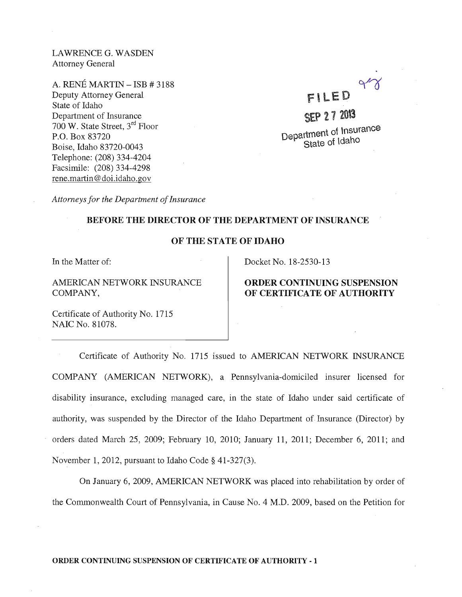LAWRENCE G. WASDEN Attorney General

A. RENE MARTIN - ISB # 3188 Deputy Attorney General State of Idaho Department of Insurance 700 W. State Street, 3rd Floor P.O. Box 83720 Boise, Idaho 83720-0043 Telephone: (208) 334-4204 Facsimile: (208) 334-4298 rene.martin@doi.idaho.gov

FllED SEP 27 2013

Department of Insurance State of Idaho

*Attorneys for the Department of Insurance* 

## BEFORE THE DIRECTOR OF THE DEPARTMENT OF INSURANCE

## OF THE STATE OF IDAHO

In the Matter of:

AMERICAN NETWORK INSURANCE COMPANY,

Docket No. 18-2530-13

## ORDER CONTINUING SUSPENSION OF CERTIFICATE OF AUTHORITY

Certificate of Authority No. 1715 NAIC No. 81078.

Certificate of Authority No. 1715 issued to AMERICAN NETWORK INSURANCE COMPANY (AMERICAN NETWORK), a Pennsylvania-domiciled insurer licensed for disability insurance, excluding managed care, in the state of Idaho under said certificate of authority, was suspended by the Director of the Idaho Department of Insurance (Director) by orders dated March 25, 2009; February 10, 2010; January 11, 2011; December 6, 2011; and November 1,2012, pursuant to Idaho Code § 41-327(3).

On January 6, 2009, AMERICAN NETWORK was placed into rehabilitation by order of the Commonwealth Court of Pennsylvania, in Cause No.4 M.D. 2009, based on the Petition for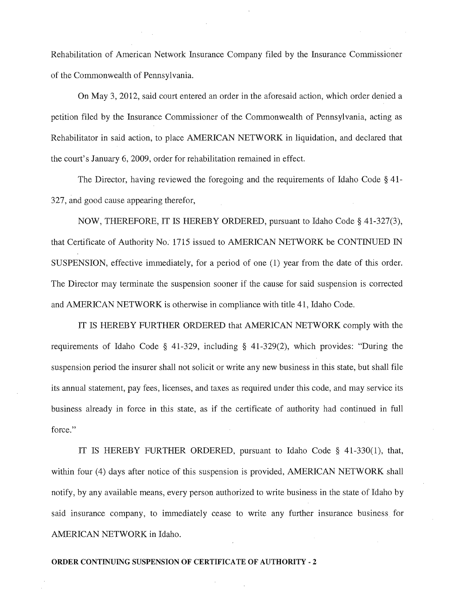Rehabilitation of American Network Insurance Company filed by the Insurance Commissioner of the Commonwealth of Pennsylvania.

On May 3, 2012, said court entered an order in the aforesaid action, which order denied a petition filed by the Insurance Commissioner of the Commonwealth of Pennsylvania, acting as Rehabilitator in said action, to place AMERICAN NETWORK in liquidation, and declared that the court's January 6,2009, order for rehabilitation remained in effect.

The Director, having reviewed the foregoing and the requirements of Idaho Code § 41- 327, and good cause appearing therefor,

NOW, THEREFORE, IT IS HEREBY ORDERED, pursuant to Idaho Code § 41-327(3), that Certificate of Authority No. 1715 issued to AMERICAN NETWORK be CONTINUED IN SUSPENSION, effective immediately, for a period of one (1) year from the date of this order. The Director may terminate the suspension sooner if the cause for said suspension is corrected and AMERICAN NETWORK is otherwise in compliance with title 41, Idaho Code.

IT IS HEREBY FURTHER ORDERED that AMERICAN NETWORK comply with the requirements of Idaho Code § 41-329, including § 41-329(2), which provides: "During the suspension period the insurer shall not solicit or write any new business in this state, but shall file its annual statement, pay fees, licenses, and taxes as required under this code, and may service its business already in force in this state, as if the certificate of authority had continued in full force."

IT IS HEREBY FURTHER ORDERED, pursuant to Idaho Code § 41-330(1), that, within four (4) days after notice of this suspension is provided, AMERICAN NETWORK shall notify, by any available means, every person authorized to write business in the state of Idaho by said insurance company, to immediately cease to write any further insurance business for AMERICAN NETWORK in Idaho.

#### ORDER CONTINUING SUSPENSION OF CERTIFICATE OF AUTHORITY - 2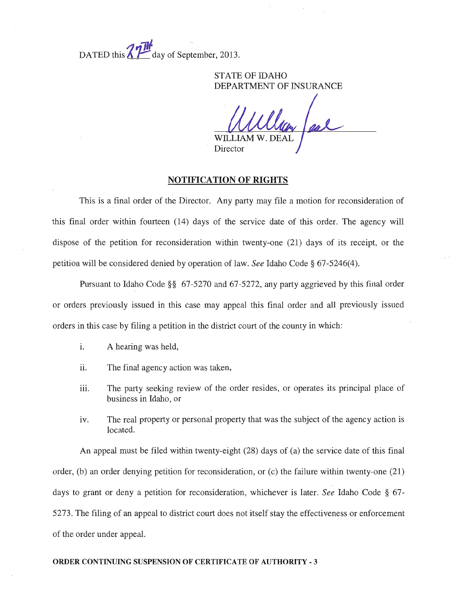$\overline{u}$ DATED this  $\Delta$   $\overline{I}$  day of September, 2013.

> STATE OF IDAHO DEPARTMENT OF INSURANCE

Director

### NOTIFICATION OF RIGHTS

This is a final order of the Director. Any party may file a motion for reconsideration of this final order within fourteen (14) days of the service date of this order. The agency will dispose of the petition for reconsideration within twenty-one (21) days of its receipt, or the petition will be considered denied by operation of law. *See* Idaho Code § 67-5246(4).

Pursuant to Idaho Code §§ 67-5270 and 67-5272, any party aggrieved by this final order or orders previously issued in this case may appeal this final order and all previously issued orders in this case by filing a petition in the district court of the county in which:

- i. A hearing was held,
- ii. The final agency action was taken,
- iii. The party seeking review of the order resides, or operates its principal place of business in Idaho, or
- iv. The real property or personal property that was the subject of the agency action is located.

An appeal must be filed within twenty-eight (28) days of (a) the service date of this final order, (b) an order denying petition for reconsideration, or (c) the failure within twenty-one (21) days to grant or deny a petition for reconsideration, whichever is later. *See* Idaho Code § 67- 5273. The filirig of an appeal to district court does not itself stay the effectiveness or enforcement of the order under appeal.

#### ORDER CONTINUING SUSPENSION OF CERTIFICATE OF AUTHORITY - 3